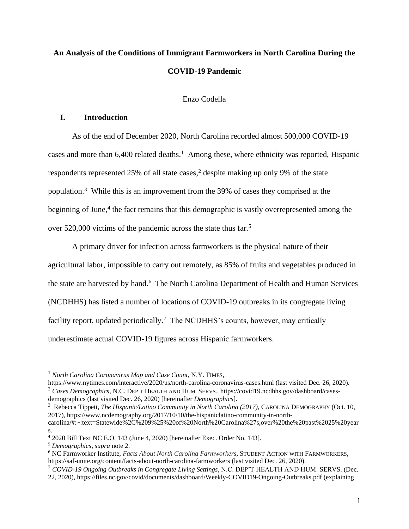# **An Analysis of the Conditions of Immigrant Farmworkers in North Carolina During the COVID-19 Pandemic**

## Enzo Codella

## **I. Introduction**

As of the end of December 2020, North Carolina recorded almost 500,000 COVID-19 cases and more than  $6,400$  related deaths.<sup>1</sup> Among these, where ethnicity was reported, Hispanic respondents represented 25% of all state cases, <sup>2</sup> despite making up only 9% of the state population.<sup>3</sup> While this is an improvement from the 39% of cases they comprised at the beginning of June,<sup>4</sup> the fact remains that this demographic is vastly overrepresented among the over 520,000 victims of the pandemic across the state thus far.<sup>5</sup>

A primary driver for infection across farmworkers is the physical nature of their agricultural labor, impossible to carry out remotely, as 85% of fruits and vegetables produced in the state are harvested by hand.<sup>6</sup> The North Carolina Department of Health and Human Services (NCDHHS) has listed a number of locations of COVID-19 outbreaks in its congregate living facility report, updated periodically.<sup>7</sup> The NCDHHS's counts, however, may critically underestimate actual COVID-19 figures across Hispanic farmworkers.

https://www.nytimes.com/interactive/2020/us/north-carolina-coronavirus-cases.html (last visited Dec. 26, 2020).

<sup>3</sup> Rebecca Tippett, *The Hispanic/Latino Community in North Carolina (2017)*, CAROLINA DEMOGRAPHY (Oct. 10, 2017), https://www.ncdemography.org/2017/10/10/the-hispaniclatino-community-in-north-

<sup>1</sup> *North Carolina Coronavirus Map and Case Count*, N.Y. TIMES,

<sup>2</sup> *Cases Demographics*, N.C. DEP'T HEALTH AND HUM. SERVS., https://covid19.ncdhhs.gov/dashboard/casesdemographics (last visited Dec. 26, 2020) [hereinafter *Demographics*].

carolina/#:~:text=Statewide%2C%209%25%20of%20North%20Carolina%27s,over%20the%20past%2025%20year s.

<sup>4</sup> 2020 Bill Text NC E.O. 143 (June 4, 2020) [hereinafter Exec. Order No. 143].

<sup>5</sup> *Demographics*, *supra* note 2.

<sup>6</sup> NC Farmworker Institute, *Facts About North Carolina Farmworkers*, STUDENT ACTION WITH FARMWORKERS, https://saf-unite.org/content/facts-about-north-carolina-farmworkers (last visited Dec. 26, 2020).

<sup>7</sup> *COVID-19 Ongoing Outbreaks in Congregate Living Settings*, N.C. DEP'T HEALTH AND HUM. SERVS. (Dec.

<sup>22, 2020),</sup> https://files.nc.gov/covid/documents/dashboard/Weekly-COVID19-Ongoing-Outbreaks.pdf (explaining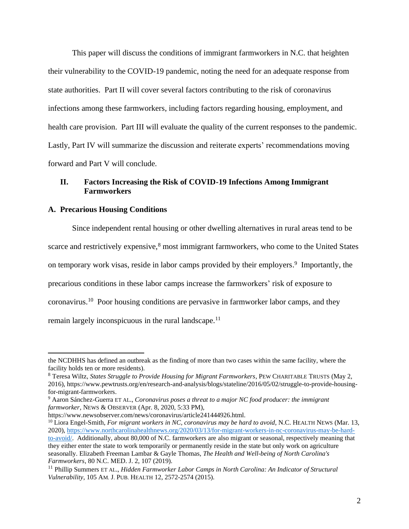This paper will discuss the conditions of immigrant farmworkers in N.C. that heighten their vulnerability to the COVID-19 pandemic, noting the need for an adequate response from state authorities. Part II will cover several factors contributing to the risk of coronavirus infections among these farmworkers, including factors regarding housing, employment, and health care provision. Part III will evaluate the quality of the current responses to the pandemic. Lastly, Part IV will summarize the discussion and reiterate experts' recommendations moving forward and Part V will conclude.

## **II. Factors Increasing the Risk of COVID-19 Infections Among Immigrant Farmworkers**

#### **A. Precarious Housing Conditions**

Since independent rental housing or other dwelling alternatives in rural areas tend to be scarce and restrictively expensive,<sup>8</sup> most immigrant farmworkers, who come to the United States on temporary work visas, reside in labor camps provided by their employers. 9 Importantly, the precarious conditions in these labor camps increase the farmworkers' risk of exposure to coronavirus.<sup>10</sup> Poor housing conditions are pervasive in farmworker labor camps, and they remain largely inconspicuous in the rural landscape.<sup>11</sup>

the NCDHHS has defined an outbreak as the finding of more than two cases within the same facility, where the facility holds ten or more residents).

<sup>8</sup> Teresa Wiltz, *States Struggle to Provide Housing for Migrant Farmworkers*, PEW CHARITABLE TRUSTS (May 2, 2016), https://www.pewtrusts.org/en/research-and-analysis/blogs/stateline/2016/05/02/struggle-to-provide-housingfor-migrant-farmworkers.

<sup>9</sup> Aaron Sánchez-Guerra ET AL., *Coronavirus poses a threat to a major NC food producer: the immigrant farmworker*, NEWS & OBSERVER (Apr. 8, 2020, 5:33 PM),

https://www.newsobserver.com/news/coronavirus/article241444926.html.

<sup>&</sup>lt;sup>10</sup> Liora Engel-Smith, *For migrant workers in NC, coronavirus may be hard to avoid*, N.C. HEALTH NEWS (Mar. 13, 2020), [https://www.northcarolinahealthnews.org/2020/03/13/for-migrant-workers-in-nc-coronavirus-may-be-hard](https://www.northcarolinahealthnews.org/2020/03/13/for-migrant-workers-in-nc-coronavirus-may-be-hard-to-avoid/)[to-avoid/.](https://www.northcarolinahealthnews.org/2020/03/13/for-migrant-workers-in-nc-coronavirus-may-be-hard-to-avoid/) Additionally, about 80,000 of N.C. farmworkers are also migrant or seasonal, respectively meaning that they either enter the state to work temporarily or permanently reside in the state but only work on agriculture seasonally. Elizabeth Freeman Lambar & Gayle Thomas, *The Health and Well-being of North Carolina's Farmworkers*, 80 N.C. MED. J. 2, 107 (2019).

<sup>11</sup> Phillip Summers ET AL., *Hidden Farmworker Labor Camps in North Carolina: An Indicator of Structural Vulnerability*, 105 AM. J. PUB. HEALTH 12, 2572-2574 (2015).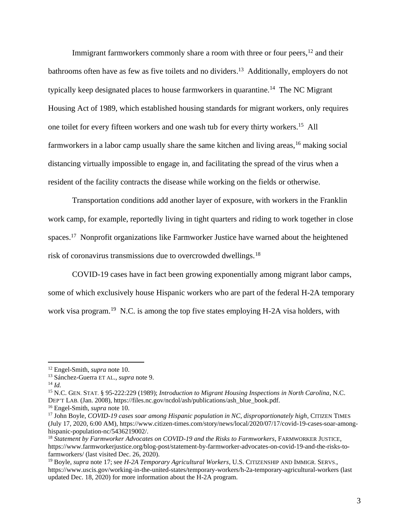Immigrant farmworkers commonly share a room with three or four peers,<sup>12</sup> and their bathrooms often have as few as five toilets and no dividers.<sup>13</sup> Additionally, employers do not typically keep designated places to house farmworkers in quarantine.<sup>14</sup> The NC Migrant Housing Act of 1989, which established housing standards for migrant workers, only requires one toilet for every fifteen workers and one wash tub for every thirty workers.<sup>15</sup> All farmworkers in a labor camp usually share the same kitchen and living areas, <sup>16</sup> making social distancing virtually impossible to engage in, and facilitating the spread of the virus when a resident of the facility contracts the disease while working on the fields or otherwise.

Transportation conditions add another layer of exposure, with workers in the Franklin work camp, for example, reportedly living in tight quarters and riding to work together in close spaces.<sup>17</sup> Nonprofit organizations like Farmworker Justice have warned about the heightened risk of coronavirus transmissions due to overcrowded dwellings.<sup>18</sup>

COVID-19 cases have in fact been growing exponentially among migrant labor camps, some of which exclusively house Hispanic workers who are part of the federal H-2A temporary work visa program.<sup>19</sup> N.C. is among the top five states employing H-2A visa holders, with

<sup>14</sup> *Id.*

<sup>12</sup> Engel-Smith, *supra* note 10.

<sup>13</sup> Sánchez-Guerra ET AL., *supra* note 9.

<sup>15</sup> N.C. GEN. STAT. § 95-222:229 (1989); *Introduction to Migrant Housing Inspections in North Carolina*, N.C. DEP'T LAB. (Jan. 2008), https://files.nc.gov/ncdol/ash/publications/ash\_blue\_book.pdf.

<sup>16</sup> Engel-Smith, *supra* note 10.

<sup>&</sup>lt;sup>17</sup> John Boyle, *COVID-19 cases soar among Hispanic population in NC*, *disproportionately high*, CITIZEN TIMES (July 17, 2020, 6:00 AM), https://www.citizen-times.com/story/news/local/2020/07/17/covid-19-cases-soar-amonghispanic-population-nc/5436219002/.

<sup>18</sup> *Statement by Farmworker Advocates on COVID-19 and the Risks to Farmworkers*, FARMWORKER JUSTICE, https://www.farmworkerjustice.org/blog-post/statement-by-farmworker-advocates-on-covid-19-and-the-risks-tofarmworkers/ (last visited Dec. 26, 2020).

<sup>19</sup> Boyle, *supra* note 17; see *H-2A Temporary Agricultural Workers*, U.S. CITIZENSHIP AND IMMIGR. SERVS., https://www.uscis.gov/working-in-the-united-states/temporary-workers/h-2a-temporary-agricultural-workers (last updated Dec. 18, 2020) for more information about the H-2A program.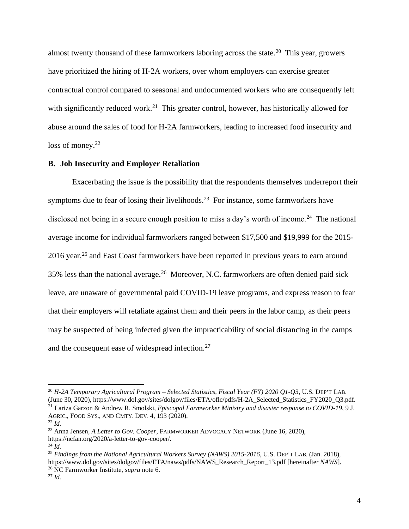almost twenty thousand of these farmworkers laboring across the state.<sup>20</sup> This year, growers have prioritized the hiring of H-2A workers, over whom employers can exercise greater contractual control compared to seasonal and undocumented workers who are consequently left with significantly reduced work.<sup>21</sup> This greater control, however, has historically allowed for abuse around the sales of food for H-2A farmworkers, leading to increased food insecurity and loss of money.<sup>22</sup>

#### **B. Job Insecurity and Employer Retaliation**

Exacerbating the issue is the possibility that the respondents themselves underreport their symptoms due to fear of losing their livelihoods.<sup>23</sup> For instance, some farmworkers have disclosed not being in a secure enough position to miss a day's worth of income.<sup>24</sup> The national average income for individual farmworkers ranged between \$17,500 and \$19,999 for the 2015- 2016 year,<sup>25</sup> and East Coast farmworkers have been reported in previous years to earn around 35% less than the national average.<sup>26</sup> Moreover, N.C. farmworkers are often denied paid sick leave, are unaware of governmental paid COVID-19 leave programs, and express reason to fear that their employers will retaliate against them and their peers in the labor camp, as their peers may be suspected of being infected given the impracticability of social distancing in the camps and the consequent ease of widespread infection.<sup>27</sup>

<sup>20</sup> *H-2A Temporary Agricultural Program – Selected Statistics, Fiscal Year (FY) 2020 Q1-Q3*, U.S. DEP'T LAB. (June 30, 2020), https://www.dol.gov/sites/dolgov/files/ETA/oflc/pdfs/H-2A\_Selected\_Statistics\_FY2020\_Q3.pdf. <sup>21</sup> Lariza Garzon & Andrew R. Smolski, *Episcopal Farmworker Ministry and disaster response to COVID-19*, 9 J.

AGRIC., FOOD SYS., AND CMTY. DEV. 4, 193 (2020). <sup>22</sup> *Id.*

<sup>23</sup> Anna Jensen, *A Letter to Gov. Cooper*, FARMWORKER ADVOCACY NETWORK (June 16, 2020),

https://ncfan.org/2020/a-letter-to-gov-cooper/.

<sup>24</sup> *Id.*

<sup>25</sup> *Findings from the National Agricultural Workers Survey (NAWS) 2015-2016*, U.S. DEP'T LAB. (Jan. 2018), https://www.dol.gov/sites/dolgov/files/ETA/naws/pdfs/NAWS\_Research\_Report\_13.pdf [hereinafter *NAWS*]. <sup>26</sup> NC Farmworker Institute, *supra* note 6.

<sup>27</sup> *Id.*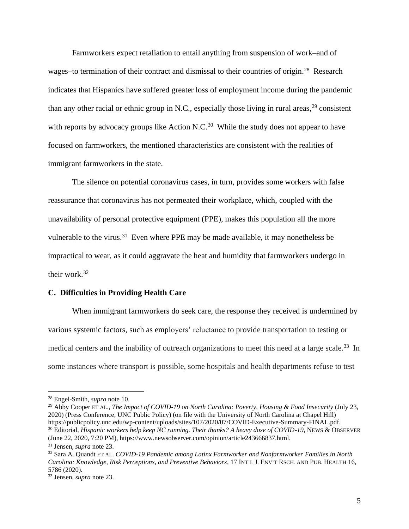Farmworkers expect retaliation to entail anything from suspension of work–and of wages-to termination of their contract and dismissal to their countries of origin.<sup>28</sup> Research indicates that Hispanics have suffered greater loss of employment income during the pandemic than any other racial or ethnic group in N.C., especially those living in rural areas,  $29$  consistent with reports by advocacy groups like Action N.C.<sup>30</sup> While the study does not appear to have focused on farmworkers, the mentioned characteristics are consistent with the realities of immigrant farmworkers in the state.

The silence on potential coronavirus cases, in turn, provides some workers with false reassurance that coronavirus has not permeated their workplace, which, coupled with the unavailability of personal protective equipment (PPE), makes this population all the more vulnerable to the virus.<sup>31</sup> Even where PPE may be made available, it may nonetheless be impractical to wear, as it could aggravate the heat and humidity that farmworkers undergo in their work.<sup>32</sup>

#### **C. Difficulties in Providing Health Care**

When immigrant farmworkers do seek care, the response they received is undermined by various systemic factors, such as employers' reluctance to provide transportation to testing or medical centers and the inability of outreach organizations to meet this need at a large scale.<sup>33</sup> In some instances where transport is possible, some hospitals and health departments refuse to test

<sup>28</sup> Engel-Smith, *supra* note 10.

<sup>29</sup> Abby Cooper ET AL., *The Impact of COVID-19 on North Carolina: Poverty, Housing & Food Insecurity* (July 23, 2020) (Press Conference, UNC Public Policy) (on file with the University of North Carolina at Chapel Hill) https://publicpolicy.unc.edu/wp-content/uploads/sites/107/2020/07/COVID-Executive-Summary-FINAL.pdf. <sup>30</sup> Editorial, *Hispanic workers help keep NC running. Their thanks? A heavy dose of COVID-19*, NEWS & OBSERVER (June 22, 2020, 7:20 PM), https://www.newsobserver.com/opinion/article243666837.html.

<sup>31</sup> Jensen, *supra* note 23.

<sup>32</sup> Sara A. Quandt ET AL. *COVID-19 Pandemic among Latinx Farmworker and Nonfarmworker Families in North Carolina: Knowledge, Risk Perceptions, and Preventive Behaviors*, 17 INT'L J. ENV'T RSCH. AND PUB. HEALTH 16, 5786 (2020).

<sup>33</sup> Jensen, *supra* note 23.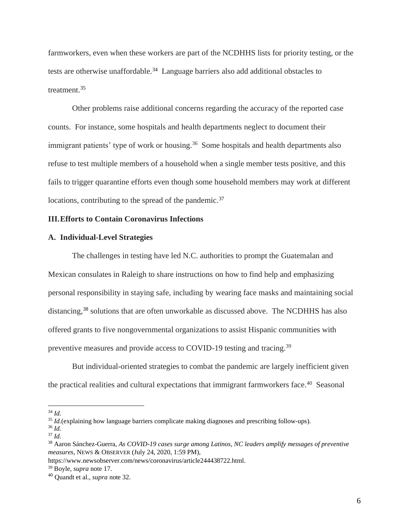farmworkers, even when these workers are part of the NCDHHS lists for priority testing, or the tests are otherwise unaffordable.<sup>34</sup> Language barriers also add additional obstacles to treatment. 35

Other problems raise additional concerns regarding the accuracy of the reported case counts. For instance, some hospitals and health departments neglect to document their immigrant patients' type of work or housing.<sup>36</sup> Some hospitals and health departments also refuse to test multiple members of a household when a single member tests positive, and this fails to trigger quarantine efforts even though some household members may work at different locations, contributing to the spread of the pandemic.<sup>37</sup>

## **III.Efforts to Contain Coronavirus Infections**

#### **A. Individual-Level Strategies**

The challenges in testing have led N.C. authorities to prompt the Guatemalan and Mexican consulates in Raleigh to share instructions on how to find help and emphasizing personal responsibility in staying safe, including by wearing face masks and maintaining social distancing, <sup>38</sup> solutions that are often unworkable as discussed above. The NCDHHS has also offered grants to five nongovernmental organizations to assist Hispanic communities with preventive measures and provide access to COVID-19 testing and tracing.<sup>39</sup>

But individual-oriented strategies to combat the pandemic are largely inefficient given the practical realities and cultural expectations that immigrant farmworkers face.<sup>40</sup> Seasonal

<sup>34</sup> *Id.*

<sup>&</sup>lt;sup>35</sup> *Id.*(explaining how language barriers complicate making diagnoses and prescribing follow-ups).

<sup>36</sup> *Id.*

<sup>37</sup> *Id.*

<sup>38</sup> Aaron Sánchez-Guerra, *As COVID-19 cases surge among Latinos, NC leaders amplify messages of preventive measures*, NEWS & OBSERVER (July 24, 2020, 1:59 PM),

https://www.newsobserver.com/news/coronavirus/article244438722.html.

<sup>39</sup> Boyle, *supra* note 17.

<sup>40</sup> Quandt et al., *supra* note 32.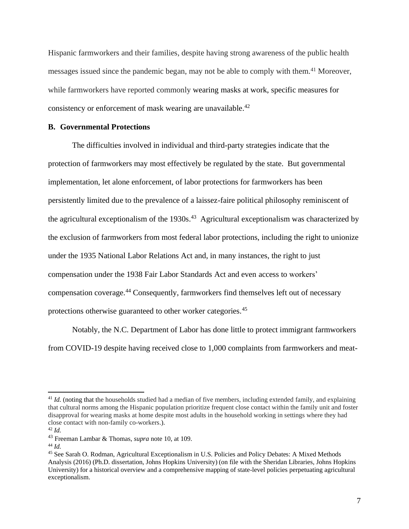Hispanic farmworkers and their families, despite having strong awareness of the public health messages issued since the pandemic began, may not be able to comply with them. <sup>41</sup> Moreover, while farmworkers have reported commonly wearing masks at work, specific measures for consistency or enforcement of mask wearing are unavailable.<sup>42</sup>

### **B. Governmental Protections**

The difficulties involved in individual and third-party strategies indicate that the protection of farmworkers may most effectively be regulated by the state. But governmental implementation, let alone enforcement, of labor protections for farmworkers has been persistently limited due to the prevalence of a laissez-faire political philosophy reminiscent of the agricultural exceptionalism of the  $1930s<sup>43</sup>$  Agricultural exceptionalism was characterized by the exclusion of farmworkers from most federal labor protections, including the right to unionize under the 1935 National Labor Relations Act and, in many instances, the right to just compensation under the 1938 Fair Labor Standards Act and even access to workers' compensation coverage.<sup>44</sup> Consequently, farmworkers find themselves left out of necessary protections otherwise guaranteed to other worker categories.<sup>45</sup>

Notably, the N.C. Department of Labor has done little to protect immigrant farmworkers from COVID-19 despite having received close to 1,000 complaints from farmworkers and meat-

<sup>&</sup>lt;sup>41</sup> *Id.* (noting that the households studied had a median of five members, including extended family, and explaining that cultural norms among the Hispanic population prioritize frequent close contact within the family unit and foster disapproval for wearing masks at home despite most adults in the household working in settings where they had close contact with non-family co-workers.).

<sup>42</sup> *Id.*

<sup>43</sup> Freeman Lambar & Thomas, *supra* note 10, at 109.

<sup>44</sup> *Id.*

<sup>45</sup> See Sarah O. Rodman, Agricultural Exceptionalism in U.S. Policies and Policy Debates: A Mixed Methods Analysis (2016) (Ph.D. dissertation, Johns Hopkins University) (on file with the Sheridan Libraries, Johns Hopkins University) for a historical overview and a comprehensive mapping of state-level policies perpetuating agricultural exceptionalism.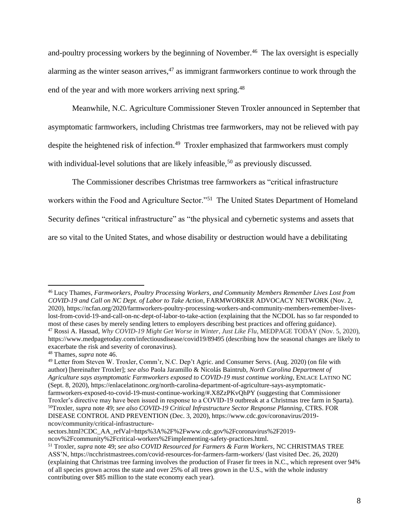and-poultry processing workers by the beginning of November. <sup>46</sup> The lax oversight is especially alarming as the winter season arrives,  $47$  as immigrant farmworkers continue to work through the end of the year and with more workers arriving next spring.<sup>48</sup>

Meanwhile, N.C. Agriculture Commissioner Steven Troxler announced in September that asymptomatic farmworkers, including Christmas tree farmworkers, may not be relieved with pay despite the heightened risk of infection.<sup>49</sup> Troxler emphasized that farmworkers must comply with individual-level solutions that are likely infeasible,<sup>50</sup> as previously discussed.

The Commissioner describes Christmas tree farmworkers as "critical infrastructure workers within the Food and Agriculture Sector."<sup>51</sup> The United States Department of Homeland Security defines "critical infrastructure" as "the physical and cybernetic systems and assets that are so vital to the United States, and whose disability or destruction would have a debilitating

<sup>46</sup> Lucy Thames, *Farmworkers, Poultry Processing Workers, and Community Members Remember Lives Lost from COVID-19 and Call on NC Dept. of Labor to Take Action*, FARMWORKER ADVOCACY NETWORK (Nov. 2, 2020), https://ncfan.org/2020/farmworkers-poultry-processing-workers-and-community-members-remember-liveslost-from-covid-19-and-call-on-nc-dept-of-labor-to-take-action (explaining that the NCDOL has so far responded to most of these cases by merely sending letters to employers describing best practices and offering guidance). <sup>47</sup> Rossi A. Hassad, *Why COVID-19 Might Get Worse in Winter, Just Like Flu*, MEDPAGE TODAY (Nov. 5, 2020), https://www.medpagetoday.com/infectiousdisease/covid19/89495 (describing how the seasonal changes are likely to exacerbate the risk and severity of coronavirus).

<sup>48</sup> Thames, *supra* note 46.

<sup>49</sup> Letter from Steven W. Troxler, Comm'r, N.C. Dep't Agric. and Consumer Servs. (Aug. 2020) (on file with author) [hereinafter Troxler]; *see also* Paola Jaramillo & Nicolás Baintrub, *North Carolina Department of Agriculture says asymptomatic Farmworkers exposed to COVID-19 must continue working*, ENLACE LATINO NC (Sept. 8, 2020), https://enlacelatinonc.org/north-carolina-department-of-agriculture-says-asymptomaticfarmworkers-exposed-to-covid-19-must-continue-working/#.X8ZzPKvQhPY (suggesting that Commissioner Troxler's directive may have been issued in response to a COVID-19 outbreak at a Christmas tree farm in Sparta). <sup>50</sup>Troxler, *supra* note 49; *see also COVID-19 Critical Infrastructure Sector Response Planning*, CTRS. FOR DISEASE CONTROL AND PREVENTION (Dec. 3, 2020), https://www.cdc.gov/coronavirus/2019 ncov/community/critical-infrastructure-

sectors.html?CDC\_AA\_refVal=https%3A%2F%2Fwww.cdc.gov%2Fcoronavirus%2F2019-

ncov%2Fcommunity%2Fcritical-workers%2Fimplementing-safety-practices.html.

<sup>51</sup> Troxler, *supra* note 49; *see also COVID Resourced for Farmers & Farm Workers*, NC CHRISTMAS TREE ASS'N, https://ncchristmastrees.com/covid-resources-for-farmers-farm-workers/ (last visited Dec. 26, 2020) (explaining that Christmas tree farming involves the production of Fraser fir trees in N.C., which represent over 94% of all species grown across the state and over 25% of all trees grown in the U.S., with the whole industry contributing over \$85 million to the state economy each year).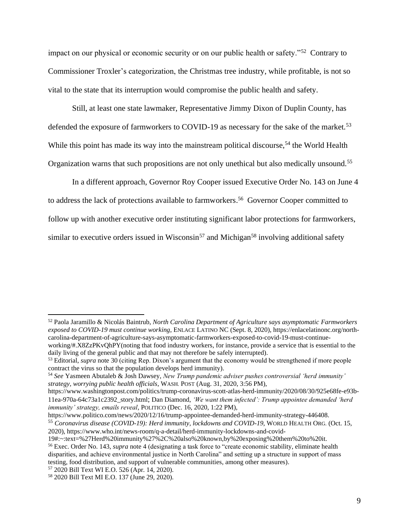impact on our physical or economic security or on our public health or safety."<sup>52</sup> Contrary to Commissioner Troxler's categorization, the Christmas tree industry, while profitable, is not so vital to the state that its interruption would compromise the public health and safety.

Still, at least one state lawmaker, Representative Jimmy Dixon of Duplin County, has defended the exposure of farmworkers to COVID-19 as necessary for the sake of the market.<sup>53</sup> While this point has made its way into the mainstream political discourse,<sup>54</sup> the World Health Organization warns that such propositions are not only unethical but also medically unsound.<sup>55</sup>

In a different approach, Governor Roy Cooper issued Executive Order No. 143 on June 4 to address the lack of protections available to farmworkers. <sup>56</sup> Governor Cooper committed to follow up with another executive order instituting significant labor protections for farmworkers, similar to executive orders issued in Wisconsin<sup>57</sup> and Michigan<sup>58</sup> involving additional safety

https://www.politico.com/news/2020/12/16/trump-appointee-demanded-herd-immunity-strategy-446408.

<sup>57</sup> 2020 Bill Text WI E.O. 526 (Apr. 14, 2020).

<sup>52</sup> Paola Jaramillo & Nicolás Baintrub, *North Carolina Department of Agriculture says asymptomatic Farmworkers exposed to COVID-19 must continue working*, ENLACE LATINO NC (Sept. 8, 2020), https://enlacelatinonc.org/northcarolina-department-of-agriculture-says-asymptomatic-farmworkers-exposed-to-covid-19-must-continueworking/#.X8ZzPKvQhPY(noting that food industry workers, for instance, provide a service that is essential to the

daily living of the general public and that may not therefore be safely interrupted). <sup>53</sup> Editorial, *supra* note 30 (citing Rep. Dixon's argument that the economy would be strengthened if more people contract the virus so that the population develops herd immunity).

<sup>54</sup> *See* Yasmeen Abutaleb & Josh Dawsey, *New Trump pandemic adviser pushes controversial 'herd immunity' strategy, worrying public health officials*, WASH. POST (Aug. 31, 2020, 3:56 PM),

https://www.washingtonpost.com/politics/trump-coronavirus-scott-atlas-herd-immunity/2020/08/30/925e68fe-e93b-11ea-970a-64c73a1c2392\_story.html; Dan Diamond, *'We want them infected': Trump appointee demanded 'herd immunity' strategy, emails reveal*, POLITICO (Dec. 16, 2020, 1:22 PM),

<sup>55</sup> *Coronavirus disease (COVID-19): Herd immunity, lockdowns and COVID-19*, WORLD HEALTH ORG. (Oct. 15, 2020), https://www.who.int/news-room/q-a-detail/herd-immunity-lockdowns-and-covid-

<sup>19#:~:</sup>text=%27Herd%20immunity%27%2C%20also%20known,by%20exposing%20them%20to%20it. <sup>56</sup> Exec. Order No. 143, *supra* note 4 (designating a task force to "create economic stability, eliminate health disparities, and achieve environmental justice in North Carolina" and setting up a structure in support of mass testing, food distribution, and support of vulnerable communities, among other measures).

<sup>58</sup> 2020 Bill Text MI E.O. 137 (June 29, 2020).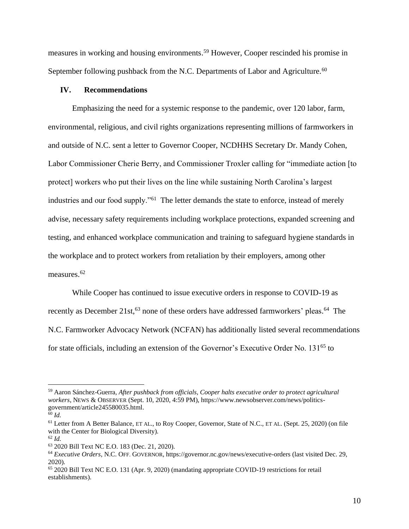measures in working and housing environments. <sup>59</sup> However, Cooper rescinded his promise in September following pushback from the N.C. Departments of Labor and Agriculture.<sup>60</sup>

#### **IV. Recommendations**

Emphasizing the need for a systemic response to the pandemic, over 120 labor, farm, environmental, religious, and civil rights organizations representing millions of farmworkers in and outside of N.C. sent a letter to Governor Cooper, NCDHHS Secretary Dr. Mandy Cohen, Labor Commissioner Cherie Berry, and Commissioner Troxler calling for "immediate action [to protect] workers who put their lives on the line while sustaining North Carolina's largest industries and our food supply."<sup>61</sup> The letter demands the state to enforce, instead of merely advise, necessary safety requirements including workplace protections, expanded screening and testing, and enhanced workplace communication and training to safeguard hygiene standards in the workplace and to protect workers from retaliation by their employers, among other measures.<sup>62</sup>

While Cooper has continued to issue executive orders in response to COVID-19 as recently as December 21st,<sup>63</sup> none of these orders have addressed farmworkers' pleas.<sup>64</sup> The N.C. Farmworker Advocacy Network (NCFAN) has additionally listed several recommendations for state officials, including an extension of the Governor's Executive Order No. 131<sup>65</sup> to

<sup>59</sup> Aaron Sánchez-Guerra, *After pushback from officials, Cooper halts executive order to protect agricultural workers*, NEWS & OBSERVER (Sept. 10, 2020, 4:59 PM), https://www.newsobserver.com/news/politicsgovernment/article245580035.html.

 $60$  *Id.* 

<sup>61</sup> Letter from A Better Balance, ET AL., to Roy Cooper, Governor, State of N.C., ET AL. (Sept. 25, 2020) (on file with the Center for Biological Diversity).

<sup>62</sup> *Id.*

<sup>63</sup> 2020 Bill Text NC E.O. 183 (Dec. 21, 2020).

<sup>64</sup> *Executive Orders*, N.C. OFF. GOVERNOR, https://governor.nc.gov/news/executive-orders (last visited Dec. 29, 2020).

<sup>65</sup> 2020 Bill Text NC E.O. 131 (Apr. 9, 2020) (mandating appropriate COVID-19 restrictions for retail establishments).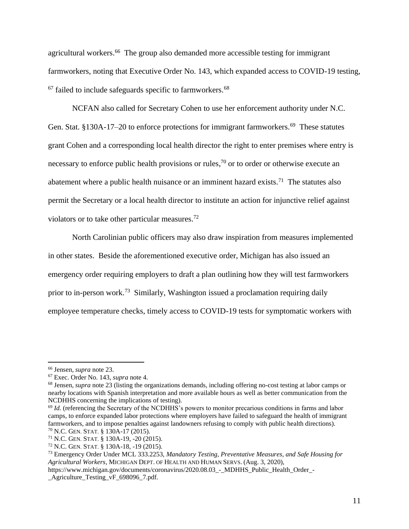agricultural workers. <sup>66</sup> The group also demanded more accessible testing for immigrant farmworkers, noting that Executive Order No. 143, which expanded access to COVID-19 testing,  $67$  failed to include safeguards specific to farmworkers.  $68$ 

NCFAN also called for Secretary Cohen to use her enforcement authority under N.C. Gen. Stat. §130A-17–20 to enforce protections for immigrant farmworkers.<sup>69</sup> These statutes grant Cohen and a corresponding local health director the right to enter premises where entry is necessary to enforce public health provisions or rules,<sup>70</sup> or to order or otherwise execute an abatement where a public health nuisance or an imminent hazard exists.<sup>71</sup> The statutes also permit the Secretary or a local health director to institute an action for injunctive relief against violators or to take other particular measures.<sup>72</sup>

North Carolinian public officers may also draw inspiration from measures implemented in other states. Beside the aforementioned executive order, Michigan has also issued an emergency order requiring employers to draft a plan outlining how they will test farmworkers prior to in-person work.<sup>73</sup> Similarly, Washington issued a proclamation requiring daily employee temperature checks, timely access to COVID-19 tests for symptomatic workers with

<sup>66</sup> Jensen, *supra* note 23.

<sup>67</sup> Exec. Order No. 143, *supra* note 4.

<sup>68</sup> Jensen, *supra* note 23 (listing the organizations demands, including offering no-cost testing at labor camps or nearby locations with Spanish interpretation and more available hours as well as better communication from the NCDHHS concerning the implications of testing).

<sup>&</sup>lt;sup>69</sup> *Id.* (referencing the Secretary of the NCDHHS's powers to monitor precarious conditions in farms and labor camps, to enforce expanded labor protections where employers have failed to safeguard the health of immigrant farmworkers, and to impose penalties against landowners refusing to comply with public health directions). <sup>70</sup> N.C. GEN. STAT. § 130A-17 (2015).

<sup>71</sup> N.C. GEN. STAT. § 130A-19, -20 (2015).

<sup>72</sup> N.C. GEN. STAT. § 130A-18, -19 (2015).

<sup>73</sup> Emergency Order Under MCL 333.2253, *Mandatory Testing, Preventative Measures, and Safe Housing for Agricultural Workers*, MICHIGAN DEPT. OF HEALTH AND HUMAN SERVS. (Aug. 3, 2020),

https://www.michigan.gov/documents/coronavirus/2020.08.03 - MDHHS Public Health Order -\_Agriculture\_Testing\_vF\_698096\_7.pdf.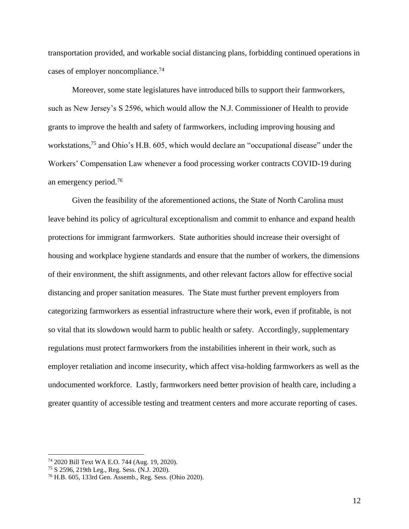transportation provided, and workable social distancing plans, forbidding continued operations in cases of employer noncompliance.<sup>74</sup>

Moreover, some state legislatures have introduced bills to support their farmworkers, such as New Jersey's S 2596, which would allow the N.J. Commissioner of Health to provide grants to improve the health and safety of farmworkers, including improving housing and workstations,<sup>75</sup> and Ohio's H.B. 605, which would declare an "occupational disease" under the Workers' Compensation Law whenever a food processing worker contracts COVID-19 during an emergency period.<sup>76</sup>

Given the feasibility of the aforementioned actions, the State of North Carolina must leave behind its policy of agricultural exceptionalism and commit to enhance and expand health protections for immigrant farmworkers. State authorities should increase their oversight of housing and workplace hygiene standards and ensure that the number of workers, the dimensions of their environment, the shift assignments, and other relevant factors allow for effective social distancing and proper sanitation measures. The State must further prevent employers from categorizing farmworkers as essential infrastructure where their work, even if profitable, is not so vital that its slowdown would harm to public health or safety. Accordingly, supplementary regulations must protect farmworkers from the instabilities inherent in their work, such as employer retaliation and income insecurity, which affect visa-holding farmworkers as well as the undocumented workforce. Lastly, farmworkers need better provision of health care, including a greater quantity of accessible testing and treatment centers and more accurate reporting of cases.

<sup>74</sup> 2020 Bill Text WA E.O. 744 (Aug. 19, 2020).

<sup>75</sup> S 2596, 219th Leg., Reg. Sess. (N.J. 2020).

<sup>76</sup> H.B. 605, 133rd Gen. Assemb., Reg. Sess. (Ohio 2020).